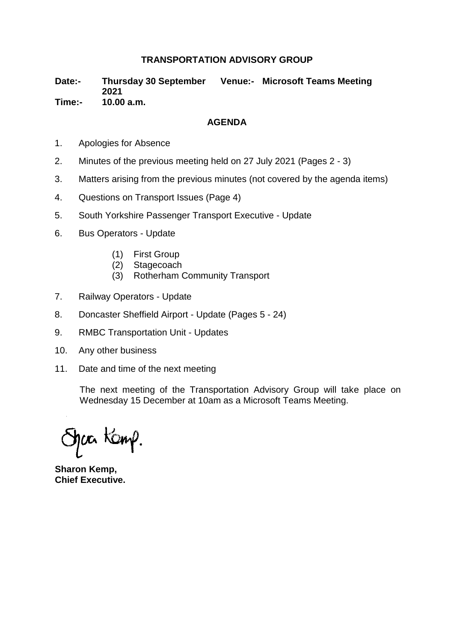# **TRANSPORTATION ADVISORY GROUP**

**Date:- Thursday 30 September Venue:- Microsoft Teams Meeting 2021 Time:- 10.00 a.m.**

#### **AGENDA**

- 1. Apologies for Absence
- 2. Minutes of the previous meeting held on 27 July 2021 (Pages 2 3)
- 3. Matters arising from the previous minutes (not covered by the agenda items)
- 4. Questions on Transport Issues (Page 4)
- 5. South Yorkshire Passenger Transport Executive Update
- 6. Bus Operators Update
	- (1) First Group
	- (2) Stagecoach
	- (3) Rotherham Community Transport
- 7. Railway Operators Update
- 8. Doncaster Sheffield Airport Update (Pages 5 24)
- 9. RMBC Transportation Unit Updates
- 10. Any other business
- 11. Date and time of the next meeting

The next meeting of the Transportation Advisory Group will take place on Wednesday 15 December at 10am as a Microsoft Teams Meeting.

hær Kamp.

**Sharon Kemp, Chief Executive.**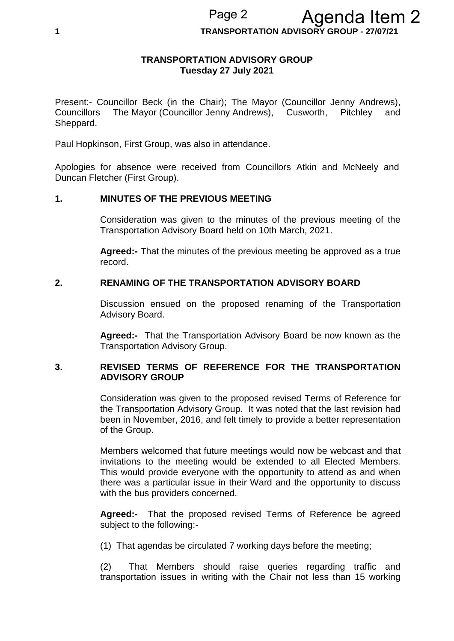**1 TRANSPORTATION ADVISORY GROUP - 27/07/21**

#### **TRANSPORTATION ADVISORY GROUP Tuesday 27 July 2021**

Present:- Councillor Beck (in the Chair); The Mayor (Councillor Jenny Andrews), Councillors The Mayor (Councillor Jenny Andrews), Cusworth, Pitchley and Sheppard.

Paul Hopkinson, First Group, was also in attendance.

Apologies for absence were received from Councillors Atkin and McNeely and Duncan Fletcher (First Group).

# **1. MINUTES OF THE PREVIOUS MEETING**

Consideration was given to the minutes of the previous meeting of the Transportation Advisory Board held on 10th March, 2021.

**Agreed:-** That the minutes of the previous meeting be approved as a true record.

# **2. RENAMING OF THE TRANSPORTATION ADVISORY BOARD**

Discussion ensued on the proposed renaming of the Transportation Advisory Board.

**Agreed:-** That the Transportation Advisory Board be now known as the Transportation Advisory Group.

# **3. REVISED TERMS OF REFERENCE FOR THE TRANSPORTATION ADVISORY GROUP**

Consideration was given to the proposed revised Terms of Reference for the Transportation Advisory Group. It was noted that the last revision had been in November, 2016, and felt timely to provide a better representation of the Group.

Members welcomed that future meetings would now be webcast and that invitations to the meeting would be extended to all Elected Members. This would provide everyone with the opportunity to attend as and when there was a particular issue in their Ward and the opportunity to discuss with the bus providers concerned.

**Agreed:-** That the proposed revised Terms of Reference be agreed subject to the following:-

(1) That agendas be circulated 7 working days before the meeting;

(2) That Members should raise queries regarding traffic and transportation issues in writing with the Chair not less than 15 working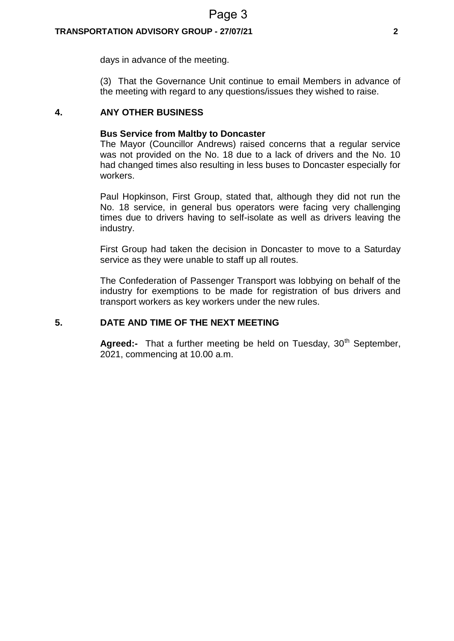#### **TRANSPORTATION ADVISORY GROUP - 27/07/21 2**

days in advance of the meeting.

(3) That the Governance Unit continue to email Members in advance of the meeting with regard to any questions/issues they wished to raise.

# **4. ANY OTHER BUSINESS**

#### **Bus Service from Maltby to Doncaster**

The Mayor (Councillor Andrews) raised concerns that a regular service was not provided on the No. 18 due to a lack of drivers and the No. 10 had changed times also resulting in less buses to Doncaster especially for workers.

Paul Hopkinson, First Group, stated that, although they did not run the No. 18 service, in general bus operators were facing very challenging times due to drivers having to self-isolate as well as drivers leaving the industry.

First Group had taken the decision in Doncaster to move to a Saturday service as they were unable to staff up all routes.

The Confederation of Passenger Transport was lobbying on behalf of the industry for exemptions to be made for registration of bus drivers and transport workers as key workers under the new rules.

# **5. DATE AND TIME OF THE NEXT MEETING**

**Agreed:-** That a further meeting be held on Tuesday, 30<sup>th</sup> September, 2021, commencing at 10.00 a.m.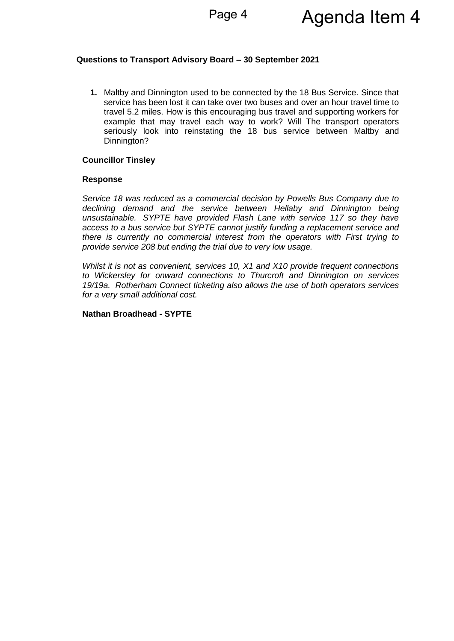#### **Questions to Transport Advisory Board – 30 September 2021**

**1.** Maltby and Dinnington used to be connected by the 18 Bus Service. Since that service has been lost it can take over two buses and over an hour travel time to travel 5.2 miles. How is this encouraging bus travel and supporting workers for example that may travel each way to work? Will The transport operators seriously look into reinstating the 18 bus service between Maltby and Dinnington?

#### **Councillor Tinsley**

#### **Response**

*Service 18 was reduced as a commercial decision by Powells Bus Company due to declining demand and the service between Hellaby and Dinnington being unsustainable. SYPTE have provided Flash Lane with service 117 so they have access to a bus service but SYPTE cannot justify funding a replacement service and there is currently no commercial interest from the operators with First trying to provide service 208 but ending the trial due to very low usage.*

*Whilst it is not as convenient, services 10, X1 and X10 provide frequent connections to Wickersley for onward connections to Thurcroft and Dinnington on services 19/19a. Rotherham Connect ticketing also allows the use of both operators services for a very small additional cost.*

#### **Nathan Broadhead - SYPTE**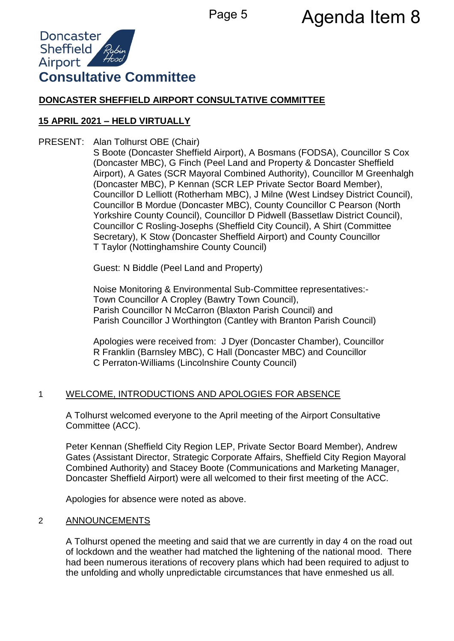# Page 5 **Agenda Item 8**



# **DONCASTER SHEFFIELD AIRPORT CONSULTATIVE COMMITTEE**

# **15 APRIL 2021 – HELD VIRTUALLY**

PRESENT: Alan Tolhurst OBE (Chair)

S Boote (Doncaster Sheffield Airport), A Bosmans (FODSA), Councillor S Cox (Doncaster MBC), G Finch (Peel Land and Property & Doncaster Sheffield Airport), A Gates (SCR Mayoral Combined Authority), Councillor M Greenhalgh (Doncaster MBC), P Kennan (SCR LEP Private Sector Board Member), Councillor D Lelliott (Rotherham MBC), J Milne (West Lindsey District Council), Councillor B Mordue (Doncaster MBC), County Councillor C Pearson (North Yorkshire County Council), Councillor D Pidwell (Bassetlaw District Council), Councillor C Rosling-Josephs (Sheffield City Council), A Shirt (Committee Secretary), K Stow (Doncaster Sheffield Airport) and County Councillor T Taylor (Nottinghamshire County Council)

Guest: N Biddle (Peel Land and Property)

Noise Monitoring & Environmental Sub-Committee representatives:- Town Councillor A Cropley (Bawtry Town Council), Parish Councillor N McCarron (Blaxton Parish Council) and Parish Councillor J Worthington (Cantley with Branton Parish Council)

Apologies were received from: J Dyer (Doncaster Chamber), Councillor R Franklin (Barnsley MBC), C Hall (Doncaster MBC) and Councillor C Perraton-Williams (Lincolnshire County Council)

# 1 WELCOME, INTRODUCTIONS AND APOLOGIES FOR ABSENCE

A Tolhurst welcomed everyone to the April meeting of the Airport Consultative Committee (ACC).

Peter Kennan (Sheffield City Region LEP, Private Sector Board Member), Andrew Gates (Assistant Director, Strategic Corporate Affairs, Sheffield City Region Mayoral Combined Authority) and Stacey Boote (Communications and Marketing Manager, Doncaster Sheffield Airport) were all welcomed to their first meeting of the ACC.

Apologies for absence were noted as above.

# 2 ANNOUNCEMENTS

A Tolhurst opened the meeting and said that we are currently in day 4 on the road out of lockdown and the weather had matched the lightening of the national mood. There had been numerous iterations of recovery plans which had been required to adjust to the unfolding and wholly unpredictable circumstances that have enmeshed us all.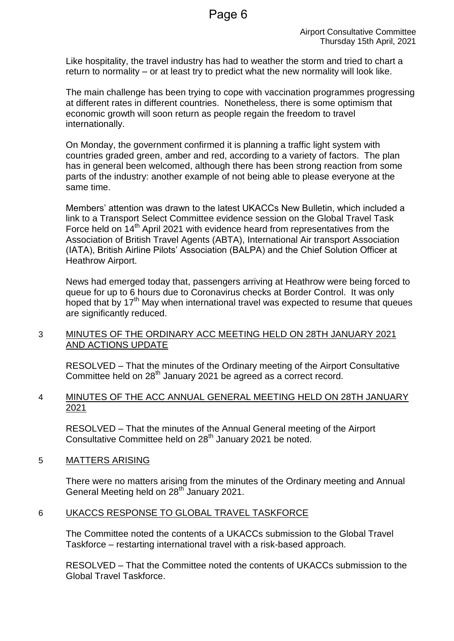Like hospitality, the travel industry has had to weather the storm and tried to chart a return to normality – or at least try to predict what the new normality will look like.

The main challenge has been trying to cope with vaccination programmes progressing at different rates in different countries. Nonetheless, there is some optimism that economic growth will soon return as people regain the freedom to travel internationally.

On Monday, the government confirmed it is planning a traffic light system with countries graded green, amber and red, according to a variety of factors. The plan has in general been welcomed, although there has been strong reaction from some parts of the industry: another example of not being able to please everyone at the same time.

Members' attention was drawn to the latest UKACCs New Bulletin, which included a link to a Transport Select Committee evidence session on the Global Travel Task Force held on 14<sup>th</sup> April 2021 with evidence heard from representatives from the Association of British Travel Agents (ABTA), International Air transport Association (IATA), British Airline Pilots' Association (BALPA) and the Chief Solution Officer at Heathrow Airport.

News had emerged today that, passengers arriving at Heathrow were being forced to queue for up to 6 hours due to Coronavirus checks at Border Control. It was only hoped that by  $17<sup>th</sup>$  May when international travel was expected to resume that queues are significantly reduced.

# 3 MINUTES OF THE ORDINARY ACC MEETING HELD ON 28TH JANUARY 2021 AND ACTIONS UPDATE

RESOLVED – That the minutes of the Ordinary meeting of the Airport Consultative Committee held on 28<sup>th</sup> January 2021 be agreed as a correct record.

# 4 MINUTES OF THE ACC ANNUAL GENERAL MEETING HELD ON 28TH JANUARY 2021

RESOLVED – That the minutes of the Annual General meeting of the Airport Consultative Committee held on 28<sup>th</sup> January 2021 be noted.

# 5 MATTERS ARISING

There were no matters arising from the minutes of the Ordinary meeting and Annual General Meeting held on 28<sup>th</sup> January 2021.

# 6 UKACCS RESPONSE TO GLOBAL TRAVEL TASKFORCE

The Committee noted the contents of a UKACCs submission to the Global Travel Taskforce – restarting international travel with a risk-based approach.

RESOLVED – That the Committee noted the contents of UKACCs submission to the Global Travel Taskforce.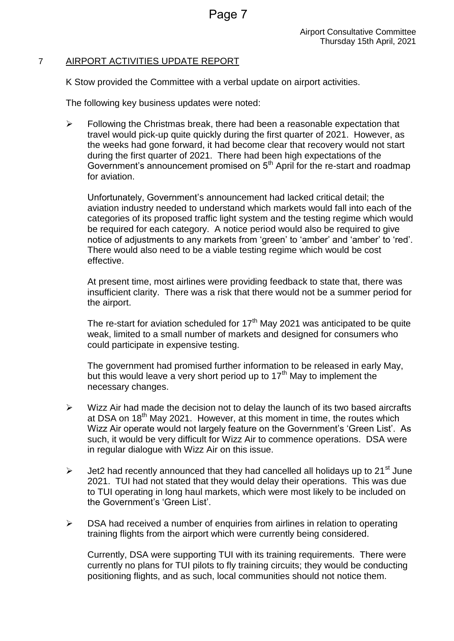# 7 AIRPORT ACTIVITIES UPDATE REPORT

K Stow provided the Committee with a verbal update on airport activities.

The following key business updates were noted:

 $\triangleright$  Following the Christmas break, there had been a reasonable expectation that travel would pick-up quite quickly during the first quarter of 2021. However, as the weeks had gone forward, it had become clear that recovery would not start during the first quarter of 2021. There had been high expectations of the Government's announcement promised on  $5<sup>th</sup>$  April for the re-start and roadmap for aviation.

Unfortunately, Government's announcement had lacked critical detail; the aviation industry needed to understand which markets would fall into each of the categories of its proposed traffic light system and the testing regime which would be required for each category. A notice period would also be required to give notice of adjustments to any markets from 'green' to 'amber' and 'amber' to 'red'. There would also need to be a viable testing regime which would be cost effective.

At present time, most airlines were providing feedback to state that, there was insufficient clarity. There was a risk that there would not be a summer period for the airport.

The re-start for aviation scheduled for  $17<sup>th</sup>$  May 2021 was anticipated to be quite weak, limited to a small number of markets and designed for consumers who could participate in expensive testing.

The government had promised further information to be released in early May, but this would leave a very short period up to  $17<sup>th</sup>$  May to implement the necessary changes.

- $\triangleright$  Wizz Air had made the decision not to delay the launch of its two based aircrafts at DSA on 18<sup>th</sup> May 2021. However, at this moment in time, the routes which Wizz Air operate would not largely feature on the Government's 'Green List'. As such, it would be very difficult for Wizz Air to commence operations. DSA were in regular dialogue with Wizz Air on this issue.
- $\triangleright$  Jet2 had recently announced that they had cancelled all holidays up to 21<sup>st</sup> June 2021. TUI had not stated that they would delay their operations. This was due to TUI operating in long haul markets, which were most likely to be included on the Government's 'Green List'.
- $\triangleright$  DSA had received a number of enquiries from airlines in relation to operating training flights from the airport which were currently being considered.

Currently, DSA were supporting TUI with its training requirements. There were currently no plans for TUI pilots to fly training circuits; they would be conducting positioning flights, and as such, local communities should not notice them.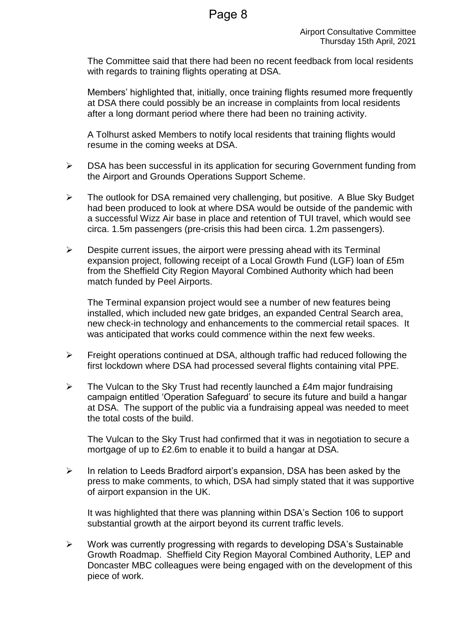The Committee said that there had been no recent feedback from local residents with regards to training flights operating at DSA.

Members' highlighted that, initially, once training flights resumed more frequently at DSA there could possibly be an increase in complaints from local residents after a long dormant period where there had been no training activity.

A Tolhurst asked Members to notify local residents that training flights would resume in the coming weeks at DSA.

- DSA has been successful in its application for securing Government funding from the Airport and Grounds Operations Support Scheme.
- $\triangleright$  The outlook for DSA remained very challenging, but positive. A Blue Sky Budget had been produced to look at where DSA would be outside of the pandemic with a successful Wizz Air base in place and retention of TUI travel, which would see circa. 1.5m passengers (pre-crisis this had been circa. 1.2m passengers).
- $\triangleright$  Despite current issues, the airport were pressing ahead with its Terminal expansion project, following receipt of a Local Growth Fund (LGF) loan of £5m from the Sheffield City Region Mayoral Combined Authority which had been match funded by Peel Airports.

The Terminal expansion project would see a number of new features being installed, which included new gate bridges, an expanded Central Search area, new check-in technology and enhancements to the commercial retail spaces. It was anticipated that works could commence within the next few weeks.

- $\triangleright$  Freight operations continued at DSA, although traffic had reduced following the first lockdown where DSA had processed several flights containing vital PPE.
- $\triangleright$  The Vulcan to the Sky Trust had recently launched a £4m major fundraising campaign entitled 'Operation Safeguard' to secure its future and build a hangar at DSA. The support of the public via a fundraising appeal was needed to meet the total costs of the build.

The Vulcan to the Sky Trust had confirmed that it was in negotiation to secure a mortgage of up to £2.6m to enable it to build a hangar at DSA.

 $\triangleright$  In relation to Leeds Bradford airport's expansion. DSA has been asked by the press to make comments, to which, DSA had simply stated that it was supportive of airport expansion in the UK.

It was highlighted that there was planning within DSA's Section 106 to support substantial growth at the airport beyond its current traffic levels.

 $\triangleright$  Work was currently progressing with regards to developing DSA's Sustainable Growth Roadmap. Sheffield City Region Mayoral Combined Authority, LEP and Doncaster MBC colleagues were being engaged with on the development of this piece of work.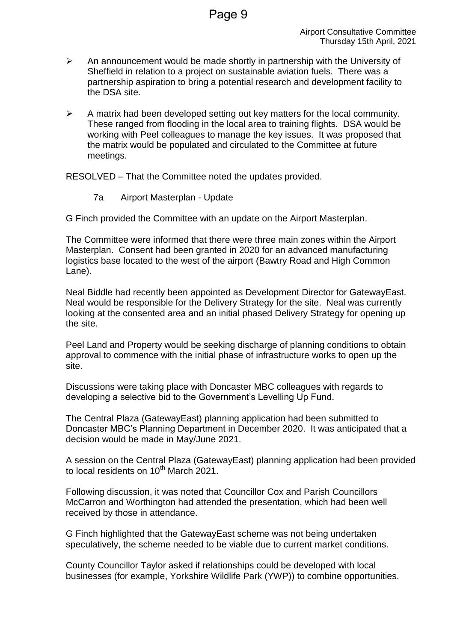- $\triangleright$  An announcement would be made shortly in partnership with the University of Sheffield in relation to a project on sustainable aviation fuels. There was a partnership aspiration to bring a potential research and development facility to the DSA site.
- $\triangleright$  A matrix had been developed setting out key matters for the local community. These ranged from flooding in the local area to training flights. DSA would be working with Peel colleagues to manage the key issues. It was proposed that the matrix would be populated and circulated to the Committee at future meetings.

RESOLVED – That the Committee noted the updates provided.

7a Airport Masterplan - Update

G Finch provided the Committee with an update on the Airport Masterplan.

The Committee were informed that there were three main zones within the Airport Masterplan. Consent had been granted in 2020 for an advanced manufacturing logistics base located to the west of the airport (Bawtry Road and High Common Lane).

Neal Biddle had recently been appointed as Development Director for GatewayEast. Neal would be responsible for the Delivery Strategy for the site. Neal was currently looking at the consented area and an initial phased Delivery Strategy for opening up the site.

Peel Land and Property would be seeking discharge of planning conditions to obtain approval to commence with the initial phase of infrastructure works to open up the site.

Discussions were taking place with Doncaster MBC colleagues with regards to developing a selective bid to the Government's Levelling Up Fund.

The Central Plaza (GatewayEast) planning application had been submitted to Doncaster MBC's Planning Department in December 2020. It was anticipated that a decision would be made in May/June 2021.

A session on the Central Plaza (GatewayEast) planning application had been provided to local residents on  $10^{th}$  March 2021.

Following discussion, it was noted that Councillor Cox and Parish Councillors McCarron and Worthington had attended the presentation, which had been well received by those in attendance.

G Finch highlighted that the GatewayEast scheme was not being undertaken speculatively, the scheme needed to be viable due to current market conditions.

County Councillor Taylor asked if relationships could be developed with local businesses (for example, Yorkshire Wildlife Park (YWP)) to combine opportunities.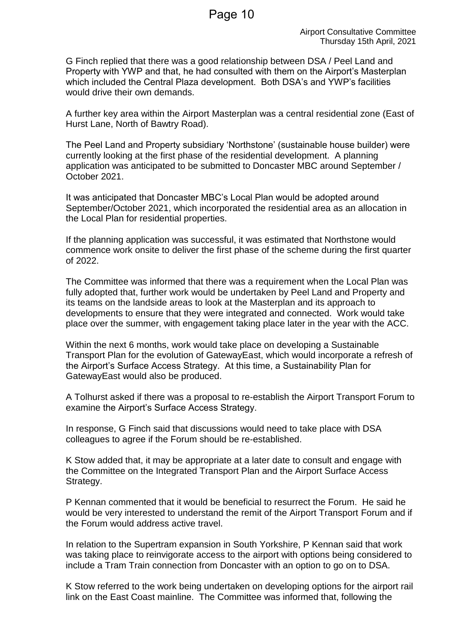G Finch replied that there was a good relationship between DSA / Peel Land and Property with YWP and that, he had consulted with them on the Airport's Masterplan which included the Central Plaza development. Both DSA's and YWP's facilities would drive their own demands.

A further key area within the Airport Masterplan was a central residential zone (East of Hurst Lane, North of Bawtry Road).

The Peel Land and Property subsidiary 'Northstone' (sustainable house builder) were currently looking at the first phase of the residential development. A planning application was anticipated to be submitted to Doncaster MBC around September / October 2021.

It was anticipated that Doncaster MBC's Local Plan would be adopted around September/October 2021, which incorporated the residential area as an allocation in the Local Plan for residential properties.

If the planning application was successful, it was estimated that Northstone would commence work onsite to deliver the first phase of the scheme during the first quarter of 2022.

The Committee was informed that there was a requirement when the Local Plan was fully adopted that, further work would be undertaken by Peel Land and Property and its teams on the landside areas to look at the Masterplan and its approach to developments to ensure that they were integrated and connected. Work would take place over the summer, with engagement taking place later in the year with the ACC.

Within the next 6 months, work would take place on developing a Sustainable Transport Plan for the evolution of GatewayEast, which would incorporate a refresh of the Airport's Surface Access Strategy. At this time, a Sustainability Plan for GatewayEast would also be produced.

A Tolhurst asked if there was a proposal to re-establish the Airport Transport Forum to examine the Airport's Surface Access Strategy.

In response, G Finch said that discussions would need to take place with DSA colleagues to agree if the Forum should be re-established.

K Stow added that, it may be appropriate at a later date to consult and engage with the Committee on the Integrated Transport Plan and the Airport Surface Access Strategy.

P Kennan commented that it would be beneficial to resurrect the Forum. He said he would be very interested to understand the remit of the Airport Transport Forum and if the Forum would address active travel.

In relation to the Supertram expansion in South Yorkshire, P Kennan said that work was taking place to reinvigorate access to the airport with options being considered to include a Tram Train connection from Doncaster with an option to go on to DSA.

K Stow referred to the work being undertaken on developing options for the airport rail link on the East Coast mainline. The Committee was informed that, following the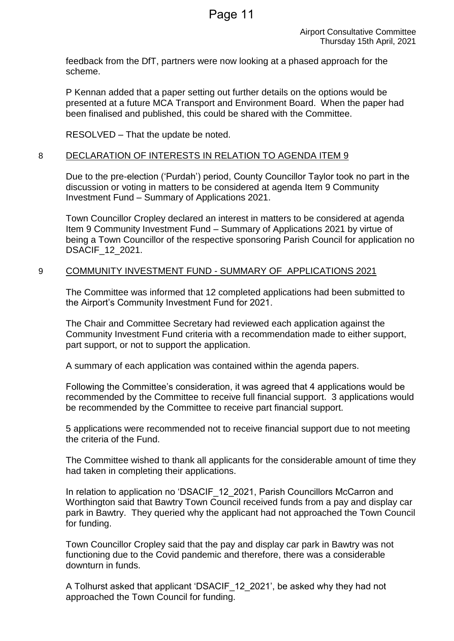feedback from the DfT, partners were now looking at a phased approach for the scheme.

P Kennan added that a paper setting out further details on the options would be presented at a future MCA Transport and Environment Board. When the paper had been finalised and published, this could be shared with the Committee.

RESOLVED – That the update be noted.

#### 8 DECLARATION OF INTERESTS IN RELATION TO AGENDA ITEM 9

Due to the pre-election ('Purdah') period, County Councillor Taylor took no part in the discussion or voting in matters to be considered at agenda Item 9 Community Investment Fund – Summary of Applications 2021.

Town Councillor Cropley declared an interest in matters to be considered at agenda Item 9 Community Investment Fund – Summary of Applications 2021 by virtue of being a Town Councillor of the respective sponsoring Parish Council for application no DSACIF\_12\_2021.

#### 9 COMMUNITY INVESTMENT FUND - SUMMARY OF APPLICATIONS 2021

The Committee was informed that 12 completed applications had been submitted to the Airport's Community Investment Fund for 2021.

The Chair and Committee Secretary had reviewed each application against the Community Investment Fund criteria with a recommendation made to either support, part support, or not to support the application.

A summary of each application was contained within the agenda papers.

Following the Committee's consideration, it was agreed that 4 applications would be recommended by the Committee to receive full financial support. 3 applications would be recommended by the Committee to receive part financial support.

5 applications were recommended not to receive financial support due to not meeting the criteria of the Fund.

The Committee wished to thank all applicants for the considerable amount of time they had taken in completing their applications.

In relation to application no 'DSACIF\_12\_2021, Parish Councillors McCarron and Worthington said that Bawtry Town Council received funds from a pay and display car park in Bawtry. They queried why the applicant had not approached the Town Council for funding.

Town Councillor Cropley said that the pay and display car park in Bawtry was not functioning due to the Covid pandemic and therefore, there was a considerable downturn in funds.

A Tolhurst asked that applicant 'DSACIF\_12\_2021', be asked why they had not approached the Town Council for funding.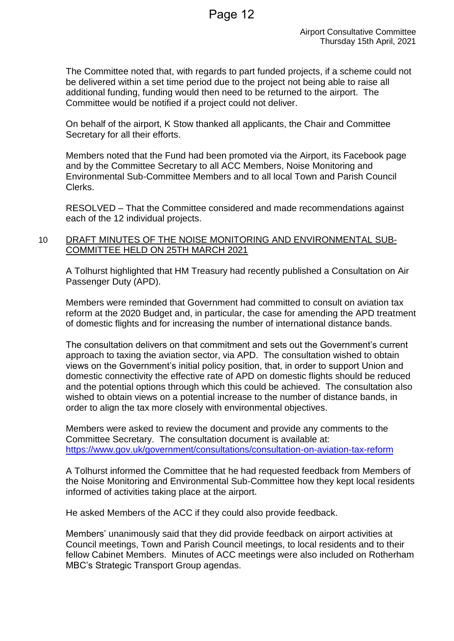The Committee noted that, with regards to part funded projects, if a scheme could not be delivered within a set time period due to the project not being able to raise all additional funding, funding would then need to be returned to the airport. The Committee would be notified if a project could not deliver.

On behalf of the airport, K Stow thanked all applicants, the Chair and Committee Secretary for all their efforts.

Members noted that the Fund had been promoted via the Airport, its Facebook page and by the Committee Secretary to all ACC Members, Noise Monitoring and Environmental Sub-Committee Members and to all local Town and Parish Council Clerks.

RESOLVED – That the Committee considered and made recommendations against each of the 12 individual projects.

# 10 DRAFT MINUTES OF THE NOISE MONITORING AND ENVIRONMENTAL SUB-COMMITTEE HELD ON 25TH MARCH 2021

A Tolhurst highlighted that HM Treasury had recently published a Consultation on Air Passenger Duty (APD).

Members were reminded that Government had committed to consult on aviation tax reform at the 2020 Budget and, in particular, the case for amending the APD treatment of domestic flights and for increasing the number of international distance bands.

The consultation delivers on that commitment and sets out the Government's current approach to taxing the aviation sector, via APD. The consultation wished to obtain views on the Government's initial policy position, that, in order to support Union and domestic connectivity the effective rate of APD on domestic flights should be reduced and the potential options through which this could be achieved. The consultation also wished to obtain views on a potential increase to the number of distance bands, in order to align the tax more closely with environmental objectives.

Members were asked to review the document and provide any comments to the Committee Secretary. The consultation document is available at: <https://www.gov.uk/government/consultations/consultation-on-aviation-tax-reform>

A Tolhurst informed the Committee that he had requested feedback from Members of the Noise Monitoring and Environmental Sub-Committee how they kept local residents informed of activities taking place at the airport.

He asked Members of the ACC if they could also provide feedback.

Members' unanimously said that they did provide feedback on airport activities at Council meetings, Town and Parish Council meetings, to local residents and to their fellow Cabinet Members. Minutes of ACC meetings were also included on Rotherham MBC's Strategic Transport Group agendas.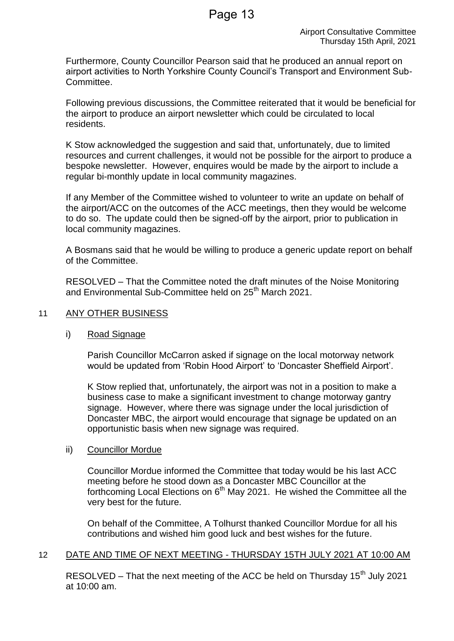Furthermore, County Councillor Pearson said that he produced an annual report on airport activities to North Yorkshire County Council's Transport and Environment Sub-Committee.

Following previous discussions, the Committee reiterated that it would be beneficial for the airport to produce an airport newsletter which could be circulated to local residents.

K Stow acknowledged the suggestion and said that, unfortunately, due to limited resources and current challenges, it would not be possible for the airport to produce a bespoke newsletter. However, enquires would be made by the airport to include a regular bi-monthly update in local community magazines.

If any Member of the Committee wished to volunteer to write an update on behalf of the airport/ACC on the outcomes of the ACC meetings, then they would be welcome to do so. The update could then be signed-off by the airport, prior to publication in local community magazines.

A Bosmans said that he would be willing to produce a generic update report on behalf of the Committee.

RESOLVED – That the Committee noted the draft minutes of the Noise Monitoring and Environmental Sub-Committee held on 25<sup>th</sup> March 2021.

# 11 ANY OTHER BUSINESS

#### i) Road Signage

Parish Councillor McCarron asked if signage on the local motorway network would be updated from 'Robin Hood Airport' to 'Doncaster Sheffield Airport'.

K Stow replied that, unfortunately, the airport was not in a position to make a business case to make a significant investment to change motorway gantry signage. However, where there was signage under the local jurisdiction of Doncaster MBC, the airport would encourage that signage be updated on an opportunistic basis when new signage was required.

#### ii) Councillor Mordue

Councillor Mordue informed the Committee that today would be his last ACC meeting before he stood down as a Doncaster MBC Councillor at the forthcoming Local Elections on  $6<sup>th</sup>$  May 2021. He wished the Committee all the very best for the future.

On behalf of the Committee, A Tolhurst thanked Councillor Mordue for all his contributions and wished him good luck and best wishes for the future.

# 12 DATE AND TIME OF NEXT MEETING - THURSDAY 15TH JULY 2021 AT 10:00 AM

RESOLVED – That the next meeting of the ACC be held on Thursday  $15<sup>th</sup>$  July 2021 at 10:00 am.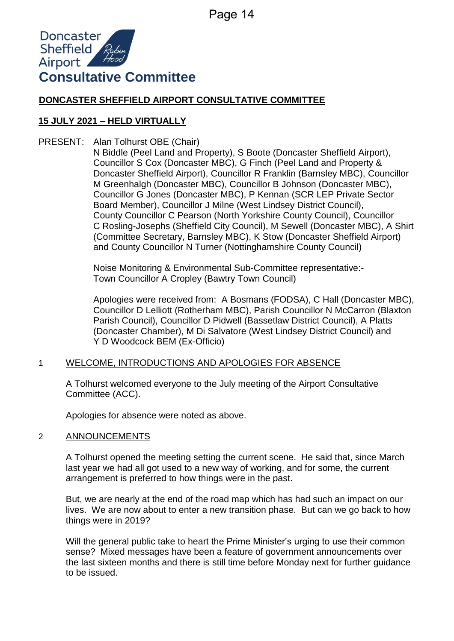

# **DONCASTER SHEFFIELD AIRPORT CONSULTATIVE COMMITTEE**

# **15 JULY 2021 – HELD VIRTUALLY**

PRESENT: Alan Tolhurst OBE (Chair)

N Biddle (Peel Land and Property), S Boote (Doncaster Sheffield Airport), Councillor S Cox (Doncaster MBC), G Finch (Peel Land and Property & Doncaster Sheffield Airport), Councillor R Franklin (Barnsley MBC), Councillor M Greenhalgh (Doncaster MBC), Councillor B Johnson (Doncaster MBC), Councillor G Jones (Doncaster MBC), P Kennan (SCR LEP Private Sector Board Member), Councillor J Milne (West Lindsey District Council), County Councillor C Pearson (North Yorkshire County Council), Councillor C Rosling-Josephs (Sheffield City Council), M Sewell (Doncaster MBC), A Shirt (Committee Secretary, Barnsley MBC), K Stow (Doncaster Sheffield Airport) and County Councillor N Turner (Nottinghamshire County Council)

Noise Monitoring & Environmental Sub-Committee representative:- Town Councillor A Cropley (Bawtry Town Council)

Apologies were received from: A Bosmans (FODSA), C Hall (Doncaster MBC), Councillor D Lelliott (Rotherham MBC), Parish Councillor N McCarron (Blaxton Parish Council), Councillor D Pidwell (Bassetlaw District Council), A Platts (Doncaster Chamber), M Di Salvatore (West Lindsey District Council) and Y D Woodcock BEM (Ex-Officio)

# 1 WELCOME, INTRODUCTIONS AND APOLOGIES FOR ABSENCE

A Tolhurst welcomed everyone to the July meeting of the Airport Consultative Committee (ACC).

Apologies for absence were noted as above.

# 2 ANNOUNCEMENTS

A Tolhurst opened the meeting setting the current scene. He said that, since March last year we had all got used to a new way of working, and for some, the current arrangement is preferred to how things were in the past.

But, we are nearly at the end of the road map which has had such an impact on our lives. We are now about to enter a new transition phase. But can we go back to how things were in 2019?

Will the general public take to heart the Prime Minister's urging to use their common sense? Mixed messages have been a feature of government announcements over the last sixteen months and there is still time before Monday next for further guidance to be issued.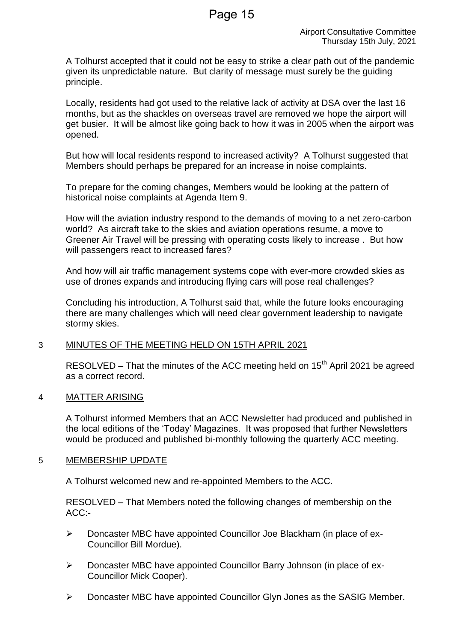A Tolhurst accepted that it could not be easy to strike a clear path out of the pandemic given its unpredictable nature. But clarity of message must surely be the guiding principle.

Locally, residents had got used to the relative lack of activity at DSA over the last 16 months, but as the shackles on overseas travel are removed we hope the airport will get busier. It will be almost like going back to how it was in 2005 when the airport was opened.

But how will local residents respond to increased activity? A Tolhurst suggested that Members should perhaps be prepared for an increase in noise complaints.

To prepare for the coming changes, Members would be looking at the pattern of historical noise complaints at Agenda Item 9.

How will the aviation industry respond to the demands of moving to a net zero-carbon world? As aircraft take to the skies and aviation operations resume, a move to Greener Air Travel will be pressing with operating costs likely to increase . But how will passengers react to increased fares?

And how will air traffic management systems cope with ever-more crowded skies as use of drones expands and introducing flying cars will pose real challenges?

Concluding his introduction, A Tolhurst said that, while the future looks encouraging there are many challenges which will need clear government leadership to navigate stormy skies.

# 3 MINUTES OF THE MEETING HELD ON 15TH APRIL 2021

RESOLVED – That the minutes of the ACC meeting held on  $15<sup>th</sup>$  April 2021 be agreed as a correct record.

# 4 MATTER ARISING

A Tolhurst informed Members that an ACC Newsletter had produced and published in the local editions of the 'Today' Magazines. It was proposed that further Newsletters would be produced and published bi-monthly following the quarterly ACC meeting.

# 5 MEMBERSHIP UPDATE

A Tolhurst welcomed new and re-appointed Members to the ACC.

RESOLVED – That Members noted the following changes of membership on the ACC:-

- $\triangleright$  Doncaster MBC have appointed Councillor Joe Blackham (in place of ex-Councillor Bill Mordue).
- Doncaster MBC have appointed Councillor Barry Johnson (in place of ex-Councillor Mick Cooper).
- Doncaster MBC have appointed Councillor Glyn Jones as the SASIG Member.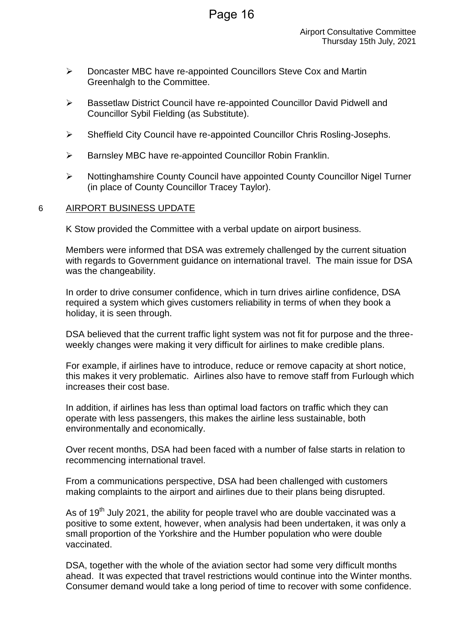- Doncaster MBC have re-appointed Councillors Steve Cox and Martin Greenhalgh to the Committee.
- Bassetlaw District Council have re-appointed Councillor David Pidwell and Councillor Sybil Fielding (as Substitute).
- Sheffield City Council have re-appointed Councillor Chris Rosling-Josephs.
- $\triangleright$  Barnsley MBC have re-appointed Councillor Robin Franklin.
- Nottinghamshire County Council have appointed County Councillor Nigel Turner (in place of County Councillor Tracey Taylor).

#### 6 AIRPORT BUSINESS UPDATE

K Stow provided the Committee with a verbal update on airport business.

Members were informed that DSA was extremely challenged by the current situation with regards to Government guidance on international travel. The main issue for DSA was the changeability.

In order to drive consumer confidence, which in turn drives airline confidence, DSA required a system which gives customers reliability in terms of when they book a holiday, it is seen through.

DSA believed that the current traffic light system was not fit for purpose and the threeweekly changes were making it very difficult for airlines to make credible plans.

For example, if airlines have to introduce, reduce or remove capacity at short notice, this makes it very problematic. Airlines also have to remove staff from Furlough which increases their cost base.

In addition, if airlines has less than optimal load factors on traffic which they can operate with less passengers, this makes the airline less sustainable, both environmentally and economically.

Over recent months, DSA had been faced with a number of false starts in relation to recommencing international travel.

From a communications perspective, DSA had been challenged with customers making complaints to the airport and airlines due to their plans being disrupted.

As of 19<sup>th</sup> July 2021, the ability for people travel who are double vaccinated was a positive to some extent, however, when analysis had been undertaken, it was only a small proportion of the Yorkshire and the Humber population who were double vaccinated.

DSA, together with the whole of the aviation sector had some very difficult months ahead. It was expected that travel restrictions would continue into the Winter months. Consumer demand would take a long period of time to recover with some confidence.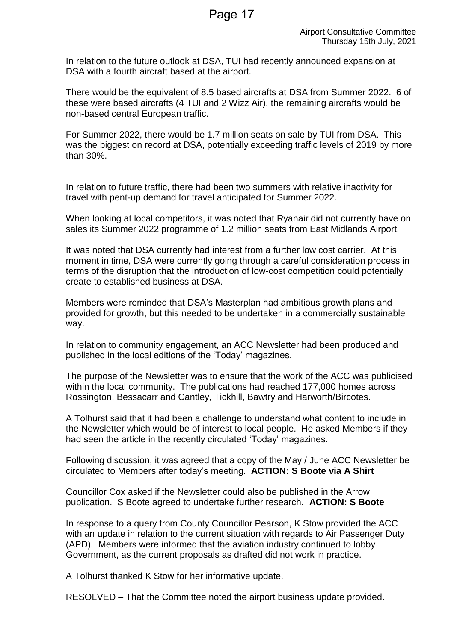In relation to the future outlook at DSA, TUI had recently announced expansion at DSA with a fourth aircraft based at the airport.

There would be the equivalent of 8.5 based aircrafts at DSA from Summer 2022. 6 of these were based aircrafts (4 TUI and 2 Wizz Air), the remaining aircrafts would be non-based central European traffic.

For Summer 2022, there would be 1.7 million seats on sale by TUI from DSA. This was the biggest on record at DSA, potentially exceeding traffic levels of 2019 by more than 30%.

In relation to future traffic, there had been two summers with relative inactivity for travel with pent-up demand for travel anticipated for Summer 2022.

When looking at local competitors, it was noted that Ryanair did not currently have on sales its Summer 2022 programme of 1.2 million seats from East Midlands Airport.

It was noted that DSA currently had interest from a further low cost carrier. At this moment in time, DSA were currently going through a careful consideration process in terms of the disruption that the introduction of low-cost competition could potentially create to established business at DSA.

Members were reminded that DSA's Masterplan had ambitious growth plans and provided for growth, but this needed to be undertaken in a commercially sustainable way.

In relation to community engagement, an ACC Newsletter had been produced and published in the local editions of the 'Today' magazines.

The purpose of the Newsletter was to ensure that the work of the ACC was publicised within the local community. The publications had reached 177,000 homes across Rossington, Bessacarr and Cantley, Tickhill, Bawtry and Harworth/Bircotes.

A Tolhurst said that it had been a challenge to understand what content to include in the Newsletter which would be of interest to local people. He asked Members if they had seen the article in the recently circulated 'Today' magazines.

Following discussion, it was agreed that a copy of the May / June ACC Newsletter be circulated to Members after today's meeting. **ACTION: S Boote via A Shirt**

Councillor Cox asked if the Newsletter could also be published in the Arrow publication. S Boote agreed to undertake further research. **ACTION: S Boote**

In response to a query from County Councillor Pearson, K Stow provided the ACC with an update in relation to the current situation with regards to Air Passenger Duty (APD). Members were informed that the aviation industry continued to lobby Government, as the current proposals as drafted did not work in practice.

A Tolhurst thanked K Stow for her informative update.

RESOLVED – That the Committee noted the airport business update provided.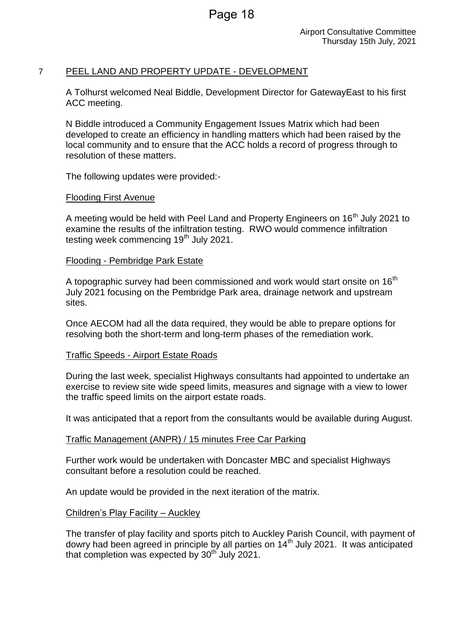# 7 PEEL LAND AND PROPERTY UPDATE - DEVELOPMENT

A Tolhurst welcomed Neal Biddle, Development Director for GatewayEast to his first ACC meeting.

N Biddle introduced a Community Engagement Issues Matrix which had been developed to create an efficiency in handling matters which had been raised by the local community and to ensure that the ACC holds a record of progress through to resolution of these matters.

The following updates were provided:-

#### Flooding First Avenue

A meeting would be held with Peel Land and Property Engineers on 16<sup>th</sup> July 2021 to examine the results of the infiltration testing. RWO would commence infiltration testing week commencing  $19<sup>th</sup>$  July 2021.

#### Flooding - Pembridge Park Estate

A topographic survey had been commissioned and work would start onsite on  $16<sup>th</sup>$ July 2021 focusing on the Pembridge Park area, drainage network and upstream sites.

Once AECOM had all the data required, they would be able to prepare options for resolving both the short-term and long-term phases of the remediation work.

#### Traffic Speeds - Airport Estate Roads

During the last week, specialist Highways consultants had appointed to undertake an exercise to review site wide speed limits, measures and signage with a view to lower the traffic speed limits on the airport estate roads.

It was anticipated that a report from the consultants would be available during August.

#### Traffic Management (ANPR) / 15 minutes Free Car Parking

Further work would be undertaken with Doncaster MBC and specialist Highways consultant before a resolution could be reached.

An update would be provided in the next iteration of the matrix.

#### Children's Play Facility – Auckley

The transfer of play facility and sports pitch to Auckley Parish Council, with payment of dowry had been agreed in principle by all parties on 14<sup>th</sup> July 2021. It was anticipated that completion was expected by  $30<sup>th</sup>$  July 2021.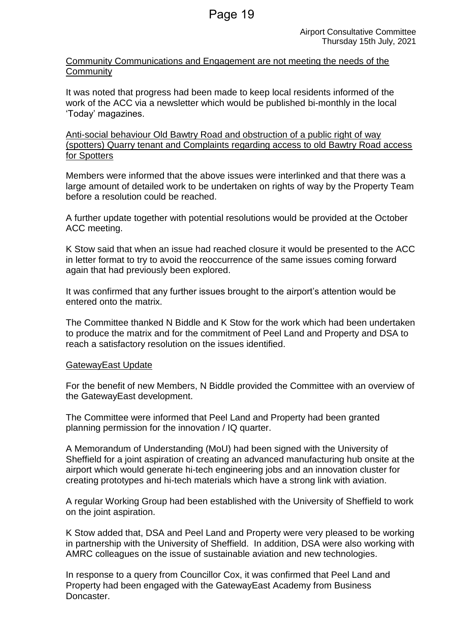Community Communications and Engagement are not meeting the needs of the **Community** 

It was noted that progress had been made to keep local residents informed of the work of the ACC via a newsletter which would be published bi-monthly in the local 'Today' magazines.

Anti-social behaviour Old Bawtry Road and obstruction of a public right of way (spotters) Quarry tenant and Complaints regarding access to old Bawtry Road access for Spotters

Members were informed that the above issues were interlinked and that there was a large amount of detailed work to be undertaken on rights of way by the Property Team before a resolution could be reached.

A further update together with potential resolutions would be provided at the October ACC meeting.

K Stow said that when an issue had reached closure it would be presented to the ACC in letter format to try to avoid the reoccurrence of the same issues coming forward again that had previously been explored.

It was confirmed that any further issues brought to the airport's attention would be entered onto the matrix.

The Committee thanked N Biddle and K Stow for the work which had been undertaken to produce the matrix and for the commitment of Peel Land and Property and DSA to reach a satisfactory resolution on the issues identified.

# GatewayEast Update

For the benefit of new Members, N Biddle provided the Committee with an overview of the GatewayEast development.

The Committee were informed that Peel Land and Property had been granted planning permission for the innovation / IQ quarter.

A Memorandum of Understanding (MoU) had been signed with the University of Sheffield for a joint aspiration of creating an advanced manufacturing hub onsite at the airport which would generate hi-tech engineering jobs and an innovation cluster for creating prototypes and hi-tech materials which have a strong link with aviation.

A regular Working Group had been established with the University of Sheffield to work on the joint aspiration.

K Stow added that, DSA and Peel Land and Property were very pleased to be working in partnership with the University of Sheffield. In addition, DSA were also working with AMRC colleagues on the issue of sustainable aviation and new technologies.

In response to a query from Councillor Cox, it was confirmed that Peel Land and Property had been engaged with the GatewayEast Academy from Business Doncaster.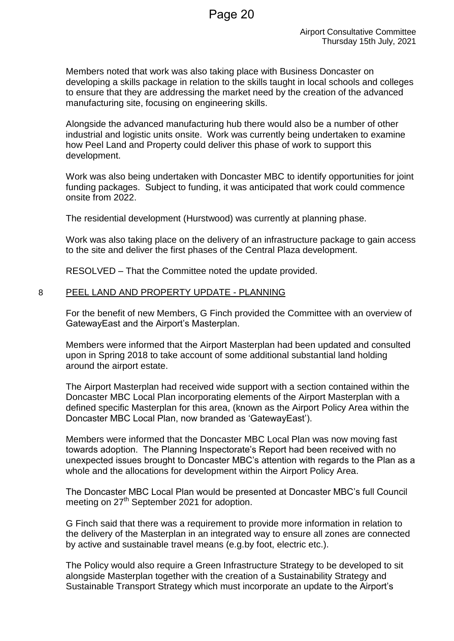Members noted that work was also taking place with Business Doncaster on developing a skills package in relation to the skills taught in local schools and colleges to ensure that they are addressing the market need by the creation of the advanced manufacturing site, focusing on engineering skills.

Alongside the advanced manufacturing hub there would also be a number of other industrial and logistic units onsite. Work was currently being undertaken to examine how Peel Land and Property could deliver this phase of work to support this development.

Work was also being undertaken with Doncaster MBC to identify opportunities for joint funding packages. Subject to funding, it was anticipated that work could commence onsite from 2022.

The residential development (Hurstwood) was currently at planning phase.

Work was also taking place on the delivery of an infrastructure package to gain access to the site and deliver the first phases of the Central Plaza development.

RESOLVED – That the Committee noted the update provided.

#### 8 PEEL LAND AND PROPERTY UPDATE - PLANNING

For the benefit of new Members, G Finch provided the Committee with an overview of GatewayEast and the Airport's Masterplan.

Members were informed that the Airport Masterplan had been updated and consulted upon in Spring 2018 to take account of some additional substantial land holding around the airport estate.

The Airport Masterplan had received wide support with a section contained within the Doncaster MBC Local Plan incorporating elements of the Airport Masterplan with a defined specific Masterplan for this area, (known as the Airport Policy Area within the Doncaster MBC Local Plan, now branded as 'GatewayEast').

Members were informed that the Doncaster MBC Local Plan was now moving fast towards adoption. The Planning Inspectorate's Report had been received with no unexpected issues brought to Doncaster MBC's attention with regards to the Plan as a whole and the allocations for development within the Airport Policy Area.

The Doncaster MBC Local Plan would be presented at Doncaster MBC's full Council meeting on 27<sup>th</sup> September 2021 for adoption.

G Finch said that there was a requirement to provide more information in relation to the delivery of the Masterplan in an integrated way to ensure all zones are connected by active and sustainable travel means (e.g.by foot, electric etc.).

The Policy would also require a Green Infrastructure Strategy to be developed to sit alongside Masterplan together with the creation of a Sustainability Strategy and Sustainable Transport Strategy which must incorporate an update to the Airport's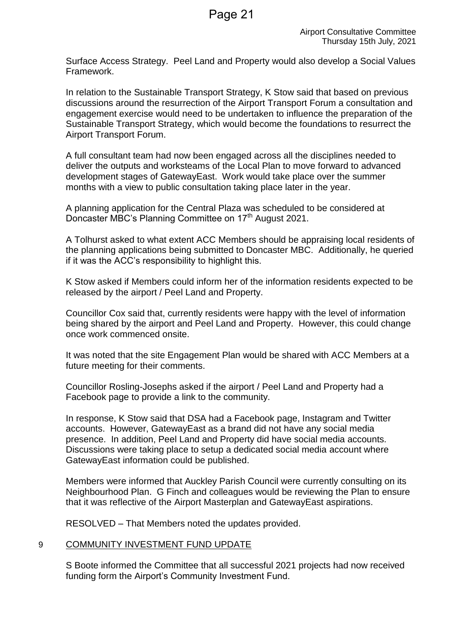Surface Access Strategy. Peel Land and Property would also develop a Social Values Framework.

In relation to the Sustainable Transport Strategy, K Stow said that based on previous discussions around the resurrection of the Airport Transport Forum a consultation and engagement exercise would need to be undertaken to influence the preparation of the Sustainable Transport Strategy, which would become the foundations to resurrect the Airport Transport Forum.

A full consultant team had now been engaged across all the disciplines needed to deliver the outputs and worksteams of the Local Plan to move forward to advanced development stages of GatewayEast. Work would take place over the summer months with a view to public consultation taking place later in the year.

A planning application for the Central Plaza was scheduled to be considered at Doncaster MBC's Planning Committee on 17<sup>th</sup> August 2021.

A Tolhurst asked to what extent ACC Members should be appraising local residents of the planning applications being submitted to Doncaster MBC. Additionally, he queried if it was the ACC's responsibility to highlight this.

K Stow asked if Members could inform her of the information residents expected to be released by the airport / Peel Land and Property.

Councillor Cox said that, currently residents were happy with the level of information being shared by the airport and Peel Land and Property. However, this could change once work commenced onsite.

It was noted that the site Engagement Plan would be shared with ACC Members at a future meeting for their comments.

Councillor Rosling-Josephs asked if the airport / Peel Land and Property had a Facebook page to provide a link to the community.

In response, K Stow said that DSA had a Facebook page, Instagram and Twitter accounts. However, GatewayEast as a brand did not have any social media presence. In addition, Peel Land and Property did have social media accounts. Discussions were taking place to setup a dedicated social media account where GatewayEast information could be published.

Members were informed that Auckley Parish Council were currently consulting on its Neighbourhood Plan. G Finch and colleagues would be reviewing the Plan to ensure that it was reflective of the Airport Masterplan and GatewayEast aspirations.

RESOLVED – That Members noted the updates provided.

# 9 COMMUNITY INVESTMENT FUND UPDATE

S Boote informed the Committee that all successful 2021 projects had now received funding form the Airport's Community Investment Fund.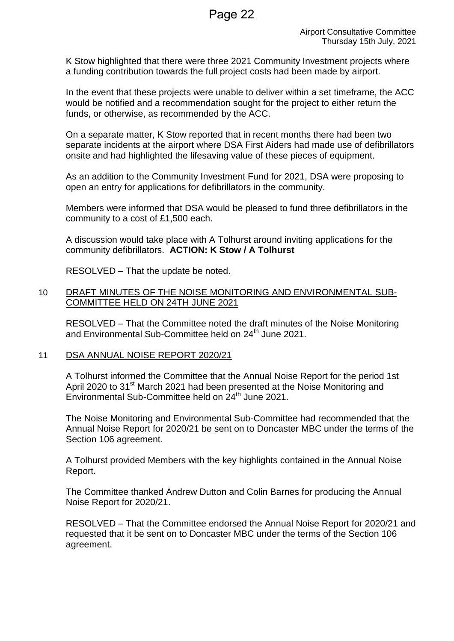K Stow highlighted that there were three 2021 Community Investment projects where a funding contribution towards the full project costs had been made by airport.

In the event that these projects were unable to deliver within a set timeframe, the ACC would be notified and a recommendation sought for the project to either return the funds, or otherwise, as recommended by the ACC.

On a separate matter, K Stow reported that in recent months there had been two separate incidents at the airport where DSA First Aiders had made use of defibrillators onsite and had highlighted the lifesaving value of these pieces of equipment.

As an addition to the Community Investment Fund for 2021, DSA were proposing to open an entry for applications for defibrillators in the community.

Members were informed that DSA would be pleased to fund three defibrillators in the community to a cost of £1,500 each.

A discussion would take place with A Tolhurst around inviting applications for the community defibrillators. **ACTION: K Stow / A Tolhurst**

RESOLVED – That the update be noted.

#### 10 DRAFT MINUTES OF THE NOISE MONITORING AND ENVIRONMENTAL SUB-COMMITTEE HELD ON 24TH JUNE 2021

RESOLVED – That the Committee noted the draft minutes of the Noise Monitoring and Environmental Sub-Committee held on 24<sup>th</sup> June 2021.

11 DSA ANNUAL NOISE REPORT 2020/21

A Tolhurst informed the Committee that the Annual Noise Report for the period 1st April 2020 to 31<sup>st</sup> March 2021 had been presented at the Noise Monitoring and Environmental Sub-Committee held on 24<sup>th</sup> June 2021.

The Noise Monitoring and Environmental Sub-Committee had recommended that the Annual Noise Report for 2020/21 be sent on to Doncaster MBC under the terms of the Section 106 agreement.

A Tolhurst provided Members with the key highlights contained in the Annual Noise Report.

The Committee thanked Andrew Dutton and Colin Barnes for producing the Annual Noise Report for 2020/21.

RESOLVED – That the Committee endorsed the Annual Noise Report for 2020/21 and requested that it be sent on to Doncaster MBC under the terms of the Section 106 agreement.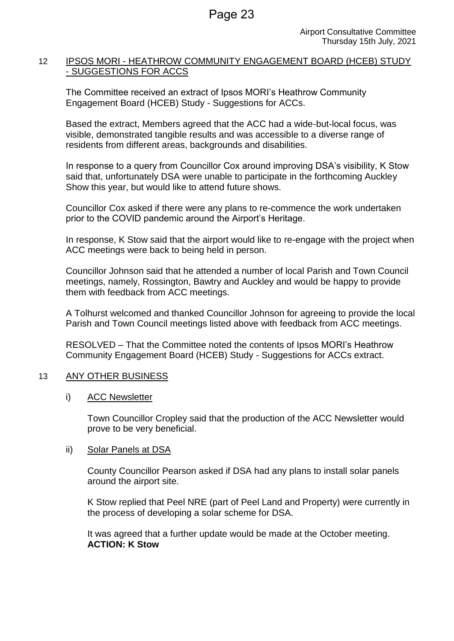# 12 IPSOS MORI - HEATHROW COMMUNITY ENGAGEMENT BOARD (HCEB) STUDY - SUGGESTIONS FOR ACCS

The Committee received an extract of Ipsos MORI's Heathrow Community Engagement Board (HCEB) Study - Suggestions for ACCs.

Based the extract, Members agreed that the ACC had a wide-but-local focus, was visible, demonstrated tangible results and was accessible to a diverse range of residents from different areas, backgrounds and disabilities.

In response to a query from Councillor Cox around improving DSA's visibility, K Stow said that, unfortunately DSA were unable to participate in the forthcoming Auckley Show this year, but would like to attend future shows.

Councillor Cox asked if there were any plans to re-commence the work undertaken prior to the COVID pandemic around the Airport's Heritage.

In response, K Stow said that the airport would like to re-engage with the project when ACC meetings were back to being held in person.

Councillor Johnson said that he attended a number of local Parish and Town Council meetings, namely, Rossington, Bawtry and Auckley and would be happy to provide them with feedback from ACC meetings.

A Tolhurst welcomed and thanked Councillor Johnson for agreeing to provide the local Parish and Town Council meetings listed above with feedback from ACC meetings.

RESOLVED – That the Committee noted the contents of Ipsos MORI's Heathrow Community Engagement Board (HCEB) Study - Suggestions for ACCs extract.

# 13 ANY OTHER BUSINESS

i) ACC Newsletter

Town Councillor Cropley said that the production of the ACC Newsletter would prove to be very beneficial.

# ii) Solar Panels at DSA

County Councillor Pearson asked if DSA had any plans to install solar panels around the airport site.

K Stow replied that Peel NRE (part of Peel Land and Property) were currently in the process of developing a solar scheme for DSA.

It was agreed that a further update would be made at the October meeting. **ACTION: K Stow**